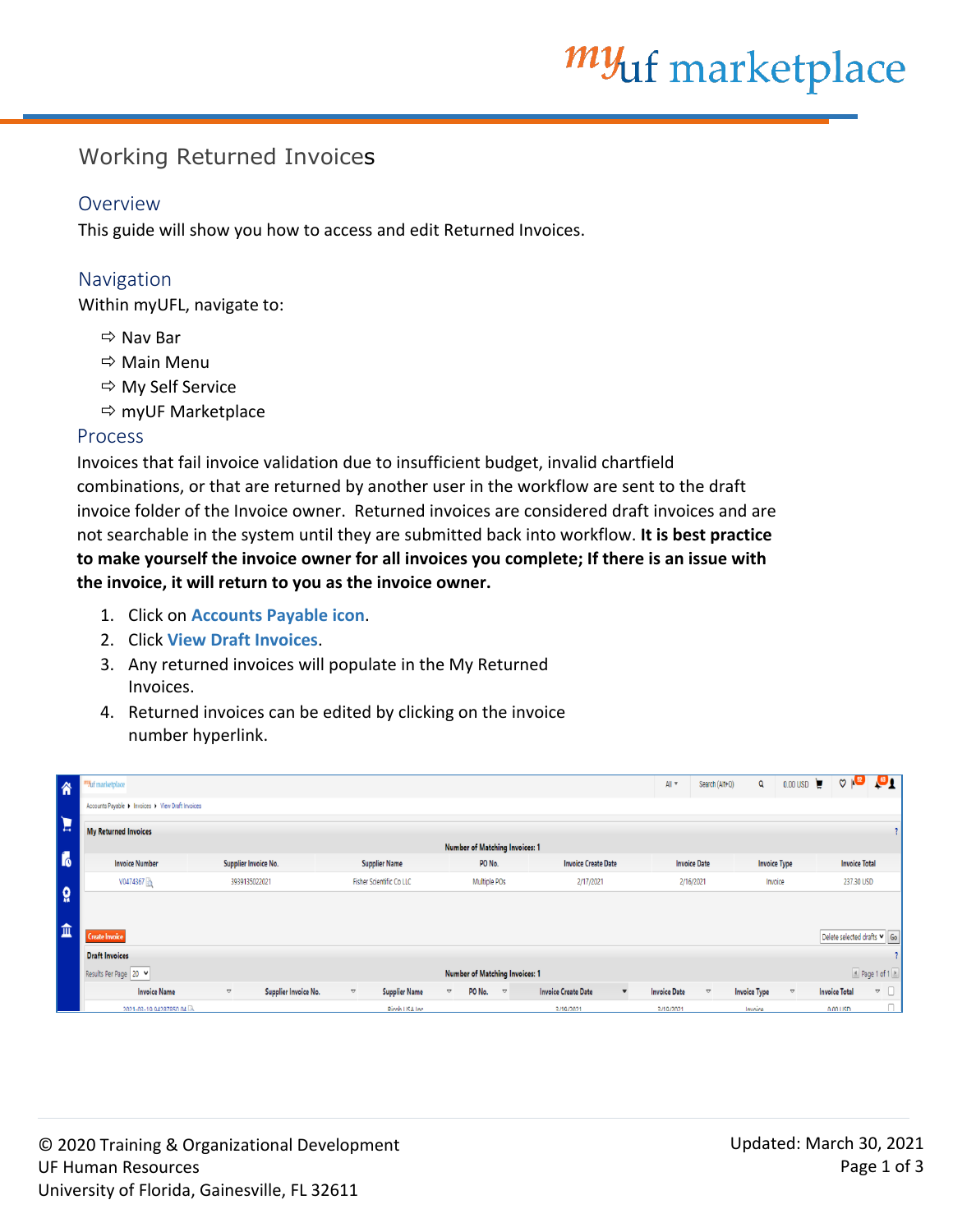# *my*<sub>uf</sub> marketplace

## Working Returned Invoices

#### Overview

This guide will show you how to access and edit Returned Invoices.

### Navigation

Within myUFL, navigate to:

- $\Rightarrow$  Nav Bar
- Main Menu
- $\Rightarrow$  My Self Service
- $\Leftrightarrow$  myUF Marketplace

#### Process

Invoices that fail invoice validation due to insufficient budget, invalid chartfield combinations, or that are returned by another user in the workflow are sent to the draft invoice folder of the Invoice owner. Returned invoices are considered draft invoices and are not searchable in the system until they are submitted back into workflow. **It is best practice to make yourself the invoice owner for all invoices you complete; If there is an issue with the invoice, it will return to you as the invoice owner.**

- 1. Click on **Accounts Payable icon**.
- 2. Click **View Draft Invoices**.
- 3. Any returned invoices will populate in the My Returned Invoices.
- 4. Returned invoices can be edited by clicking on the invoice number hyperlink.

| 谷              | Wuf marketplace                                                |                                                   |                                                   |                                                          |                            | Search (Alt+Q)<br>All $\overline{\phantom{a}}$   | $0.00 \text{ USD}$<br>Q                 | $\heartsuit$ $\mathbf{R}^2$<br>$\mathbf{a}$                                |
|----------------|----------------------------------------------------------------|---------------------------------------------------|---------------------------------------------------|----------------------------------------------------------|----------------------------|--------------------------------------------------|-----------------------------------------|----------------------------------------------------------------------------|
|                | Accounts Payable > Invoices > View Draft Invoices              |                                                   |                                                   |                                                          |                            |                                                  |                                         |                                                                            |
| E              | <b>My Returned Invoices</b>                                    |                                                   |                                                   |                                                          |                            |                                                  |                                         |                                                                            |
|                | <b>Number of Matching Invoices: 1</b>                          |                                                   |                                                   |                                                          |                            |                                                  |                                         |                                                                            |
| $\mathbf{r}_0$ | <b>Invoice Number</b>                                          | Supplier Invoice No.                              | <b>Supplier Name</b>                              | PO No.                                                   | <b>Invoice Create Date</b> | <b>Invoice Date</b>                              | <b>Invoice Type</b>                     | <b>Invoice Total</b>                                                       |
|                | V0474367                                                       | 3939135022021                                     | <b>Fisher Scientific Co LLC</b>                   | Multiple POs                                             | 2/17/2021                  | 2/16/2021                                        | Invoice                                 | 237.30 USD                                                                 |
| <b>Q</b>       |                                                                |                                                   |                                                   |                                                          |                            |                                                  |                                         |                                                                            |
| 血              |                                                                |                                                   |                                                   |                                                          |                            |                                                  |                                         |                                                                            |
|                | <b>Create Invoice</b>                                          |                                                   |                                                   |                                                          |                            |                                                  |                                         | Delete selected drafts v Go                                                |
|                | <b>Draft Invoices</b>                                          |                                                   |                                                   |                                                          |                            |                                                  |                                         |                                                                            |
|                | Results Per Page 20 V<br><b>Number of Matching Invoices: 1</b> |                                                   |                                                   |                                                          |                            |                                                  | $\Box$ Page 1 of 1 $\Box$               |                                                                            |
|                | <b>Invoice Name</b>                                            | Supplier Invoice No.<br>$\mathbin{\triangledown}$ | <b>Supplier Name</b><br>$\mathbin{\triangledown}$ | PO No.<br>$\mathbf{\nabla}$<br>$\mathrel{\triangledown}$ | <b>Invoice Create Date</b> | $\mathbin{\triangledown}$<br><b>Invoice Date</b> | <b>Invoice Type</b><br>$\mathbf \nabla$ | $\hspace{0.1mm} \triangledown \hspace{0.1mm} \Box$<br><b>Invoice Total</b> |
|                | 2021-03-19 94287850 04                                         |                                                   | Ricob USA Inc.                                    |                                                          | 3/19/2021                  | 3/19/2021                                        | Invoice                                 | 0.00115D                                                                   |